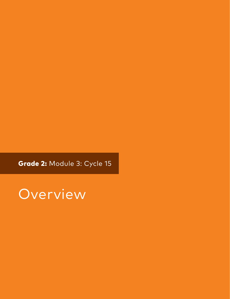Grade 2: Module 3: Cycle 15

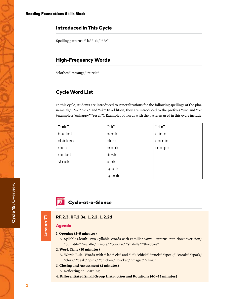## Introduced in This Cycle

Spelling patterns: "-k," "-ck," "-ic"

## High-Frequency Words

"clothes," "strange," "circle"

## Cycle Word List

In this cycle, students are introduced to generalizations for the following spellings of the phoneme /k/: "–c," "-ck," and "–k." In addition, they are introduced to the prefixes "un" and "re" (examples: "unhappy," "resell"). Examples of words with the patterns used in this cycle include:

| $"$ -ck $"$ | $"$ -k $"$ | $"$ -ic $"$ |
|-------------|------------|-------------|
| bucket      | beak       | clinic      |
| chicken     | clerk      | comic       |
| rock        | croak      | magic       |
| rocket      | desk       |             |
| stack       | pink       |             |
|             | spark      |             |
|             | speak      |             |



RF.2.3, RF.2.3e, L.2.2, L.2.2d

## Agenda

Lesson 71

Lesson 71

- 1. **Opening (3–5 minutes)**
	- A. Syllable Sleuth: Two-Syllable Words with Familiar Vowel Patterns: "sta-tion," "ver-sion," "bum-ble," "waf-fle," "ta-ble," "cou-gar," "shaf-fle," "thi-doze"
- 2. **Work Time (10 minutes)**
	- A. Words Rule: Words with "-k," "-ck," and "ic": "chick," "truck," "speak," "croak," "spark," "clerk," "desk," "pink," "chicken," "bucket," "magic," "clinic"
- 3. **Closing and Assessment (2 minutes)**
	- A. Reflecting on Learning
- 4. **Differentiated Small Group Instruction and Rotations (40–45 minutes)**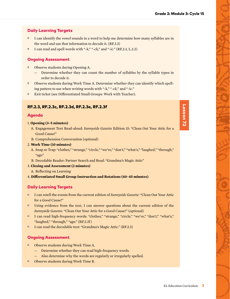## Daily Learning Targets

- I can identify the vowel sounds in a word to help me determine how many syllables are in the word and use that information to decode it. (RF.2.3)
- I can read and spell words with "-k," "-ck," and "-ic." (RF.2.3, L.2.2)

## Ongoing Assessment

- Observe students during Opening A.
	- Determine whether they can count the number of syllables by the syllable types in order to decode it.
- Observe students during Work Time A. Determine whether they can identify which spelling pattern to use when writing words with "-k," "-ck," and "-ic."
- Exit ticket (see Differentiated Small Groups: Work with Teacher).

## RF.2.3, RF.2.3c, RF.2.3d, RF.2.3e, RF.2.3f

#### Agenda

- 1. **Opening (3–5 minutes)**
	- A. Engagement Text Read-aloud: *Sunnyside Gazette* Edition 15: "Clean Out Your Attic for a Good Cause!"
	- B. Comprehension Conversation (optional)
- 2. **Work Time (10 minutes)**
	- A. Snap or Trap: "clothes," "strange," "circle," "we've," "don't," "what's," "laughed," "through," "ago"
	- B. Decodable Reader: Partner Search and Read: "Grandma's Magic Attic"

#### 3. **Closing and Assessment (2 minutes)**

- A. Reflecting on Learning
- 4. **Differentiated Small Group Instruction and Rotations (40–45 minutes)**

## Daily Learning Targets

- I can retell the events from the current edition of *Sunnyside Gazette*: "Clean Out Your Attic for a Good Cause!"
- Using evidence from the text, I can answer questions about the current edition of the *Sunnyside Gazette*: "Clean Out Your Attic for a Good Cause!" (optional)
- I can read high-frequency words: "clothes," "strange," "circle," "we've," "don't," "what's," "laughed," "through," "ago." (RF.2.3f)
- I can read the decodable text: "Grandma's Magic Attic." (RF.2.3)

## Ongoing Assessment

- Observe students during Work Time A.
	- Determine whether they can read high-frequency words.
	- Also determine why the words are regularly or irregularly spelled.
- Observe students during Work Time B.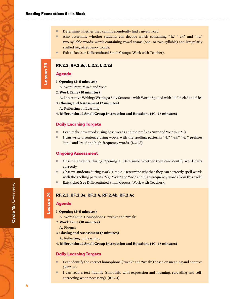- Determine whether they can independently find a given word.
- Also determine whether students can decode words containing "-k," "-ck," and "-ic," two-syllable words, words containing vowel teams (one- or two-syllable) and irregularly spelled high-frequency words.
- Exit ticket (see Differentiated Small Groups: Work with Teacher).

## RF.2.3, RF.2.3d, L.2.2, L.2.2d

## Agenda

Lesson 73

Lesson 73

- 1. **Opening (3–5 minutes)**
	- A. Word Parts: "un-" and "re-"

#### 2. **Work Time (10 minutes)**

- A. Interactive Writing: Writing a Silly Sentence with Words Spelled with "-k," "-ck," and "-ic"
- 3. **Closing and Assessment (2 minutes)**
	- A. Reflecting on Learning
- 4. **Differentiated Small Group Instruction and Rotations (40–45 minutes)**

#### Daily Learning Targets

- I can make new words using base words and the prefixes "un" and "re." (RF.2.3)
- I can write a sentence using words with the spelling patterns: "-k," "-ck," "-ic," prefixes "un-" and "re-," and high-frequency words. (L.2.2d)

#### Ongoing Assessment

- Observe students during Opening A. Determine whether they can identify word parts correctly.
- Observe students during Work Time A. Determine whether they can correctly spell words with the spelling patterns: "-k," "-ck," and "-ic," and high-frequency words from this cycle.
- Exit ticket (see Differentiated Small Groups: Work with Teacher).

# Lesson 74 Lesson 74

## RF.2.3, RF.2.3e, RF.2.4, RF.2.4b, RF.2.4c

## Agenda

- 1. **Opening (3–5 minutes)**
	- A. Words Rule: Homophones: "week" and "weak"
- 2. **Work Time (10 minutes)**
	- A. Fluency
- 3. **Closing and Assessment (2 minutes)**
	- A. Reflecting on Learning
- 4. **Differentiated Small Group Instruction and Rotations (40–45 minutes)**

#### Daily Learning Targets

- I can identify the correct homophone ("week" and "weak") based on meaning and context. (RF.2.3e)
- I can read a text fluently (smoothly, with expression and meaning, rereading and selfcorrecting when necessary). (RF.2.4)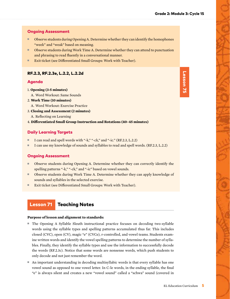## Ongoing Assessment

- Observe students during Opening A. Determine whether they can identify the homophones "week" and "weak" based on meaning.
- Observe students during Work Time A. Determine whether they can attend to punctuation and phrasing to read fluently in a conversational manner.
- Exit ticket (see Differentiated Small Groups: Work with Teacher).

### RF.2.3, RF.2.3e, L.2.2, L.2.2d

#### Agenda

- 1. **Opening (3-5 minutes)**
	- A. Word Workout: Same Sounds
- 2. **Work Time (10 minutes)**
- A. Word Workout: Exercise Practice
- 3. **Closing and Assessment (2 minutes)**
- A. Reflecting on Learning
- 4. **Differentiated Small Group Instruction and Rotations (40–45 minutes)**

## Daily Learning Targets

- I can read and spell words with "-k," "-ck," and "-ic." (RF.2.3, L.2.2)
- I can use my knowledge of sounds and syllables to read and spell words. (RF.2.3, L.2.2)

#### Ongoing Assessment

- Observe students during Opening A. Determine whether they can correctly identify the spelling patterns "-k," "-ck," and "-ic" based on vowel sounds.
- Observe students during Work Time A. Determine whether they can apply knowledge of sounds and syllables in the selected exercise.
- Exit ticket (see Differentiated Small Groups: Work with Teacher).

## Lesson 71 Teaching Notes

#### **Purpose of lesson and alignment to standards:**

- The Opening A Syllable Sleuth instructional practice focuses on decoding two-syllable words using the syllable types and spelling patterns accumulated thus far. This includes closed (CVC), open (CV), magic "e" (CVCe), r-controlled, and vowel teams. Students examine written words and identify the vowel spelling patterns to determine the number of syllables. Finally, they identify the syllable types and use the information to successfully decode the words (RF.2.3c). Notice that some words are nonsense words, which push students to only decode and not just remember the word.
- An important understanding in decoding multisyllabic words is that every syllable has one vowel sound as opposed to one vowel letter. In C-le words, in the ending syllable, the final "e" is always silent and creates a new "vowel sound" called a "schwa" sound (covered in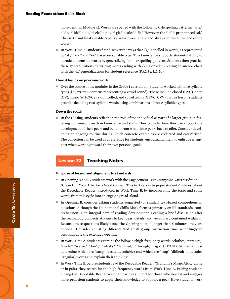more depth in Module 4). Words are spelled with the following C-le spelling patterns: "-zle," "-kle," "-ble," "-dle," "-cle," "-ple," "-gle," "-stle," "-fle." However, the "le" is pronounced /əl/. This sixth and final syllable type is always three letters and always comes at the end of the word.

In Work Time A, students first discover the ways that  $/k$  is spelled in words, as represented by "-k," "-ck," and "-ic" based on syllable type. This knowledge supports students' ability to decode and encode words by generalizing familiar spelling patterns. Students then practice these generalizations by writing words ending with /k/. Consider creating an anchor chart with the /k/ generalizations for student reference (RF.2.3e, L.2.2d).

#### **How it builds on previous work:**

■ Over the course of the modules in the Grade 1 curriculum, students worked with five syllable types (i.e., written patterns representing a vowel sound). These include closed (CVC), open (CV), magic "e" (CVCe), r-controlled, and vowel teams (CVVC, CVV). In this lesson, students practice decoding two-syllable words using combinations of those syllable types.

#### **Down the road:**

■ In the Closing, students reflect on the role of the individual as part of a larger group in fostering continued growth in knowledge and skills. They consider how they can support the development of their peers and benefit from what those peers have to offer. Consider developing an ongoing routine during which concrete examples are collected and categorized. The collection can be used as a reference for students, encouraging them to enlist peer support when working toward their own personal goals.

## Lesson 72 Teaching Notes

#### **Purpose of lesson and alignment to standards:**

- In Opening A and B, students work with the Engagement Text: *Sunnyside Gazette* Edition 15: "Clean Out Your Attic for a Good Cause!" This text serves to pique students' interest about the Decodable Reader, introduced in Work Time B, by incorporating the topic and some words from this cycle into an engaging read-aloud.
- In Opening B, consider asking students suggested (or similar) text-based comprehension questions. Although the Foundational Skills Block focuses primarily on RF standards, comprehension is an integral part of reading development. Leading a brief discussion after the read-aloud connects students to key ideas, details, and vocabulary contained within it. Because these questions likely cause the Opening to take longer than 5 minutes, they are optional. Consider adjusting differentiated small group instruction time accordingly to accommodate the extended Opening.
- In Work Time A, students examine the following high-frequency words: "clothes," "strange," "circle," "we've," "don't," "what's," "laughed," "through," "ago" (RF.2.3f ). Students must determine which are "snap" (easily decodable) and which are "trap" (difficult to decode/ irregular) words and explain their thinking.
- In Work Time B, before students read the Decodable Reader: "Grandma's Magic Attic," alone or in pairs, they search for the high-frequency words from Work Time A. Pairing students during the Decodable Reader routine provides support for those who need it and engages more proficient students to apply their knowledge to support a peer. Have students work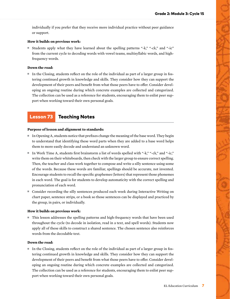individually if you prefer that they receive more individual practice without peer guidance or support.

#### **How it builds on previous work:**

■ Students apply what they have learned about the spelling patterns "-k," "-ck," and "-ic" from the current cycle to decoding words with vowel teams, multisyllabic words, and highfrequency words.

#### **Down the road:**

■ In the Closing, students reflect on the role of the individual as part of a larger group in fostering continued growth in knowledge and skills. They consider how they can support the development of their peers and benefit from what those peers have to offer. Consider developing an ongoing routine during which concrete examples are collected and categorized. The collection can be used as a reference for students, encouraging them to enlist peer support when working toward their own personal goals.

## Lesson 73 Teaching Notes

#### **Purpose of lesson and alignment to standards:**

- In Opening A, students notice that prefixes change the meaning of the base word. They begin to understand that identifying these word parts when they are added to a base word helps them to more easily decode and understand an unknown word.
- In Work Time A, students first brainstorm a list of words spelled with "-k," "-ck," and "-ic," write them on their whiteboards, then check with the larger group to ensure correct spelling. Then, the teacher and class work together to compose and write a silly sentence using some of the words. Because these words are familiar, spellings should be accurate, not invented. Encourage students to recall the specific graphemes (letters) that represent those phonemes in each word. The goal is for students to develop automaticity with the correct spelling and pronunciation of each word.
- Consider recording the silly sentences produced each week during Interactive Writing on chart paper, sentence strips, or a book so those sentences can be displayed and practiced by the group, in pairs, or individually.

#### **How it builds on previous work:**

■ This lesson addresses the spelling patterns and high-frequency words that have been used throughout the cycle (to decode in isolation, read in a text, and spell words). Students now apply all of these skills to construct a shared sentence. The chosen sentence also reinforces words from the decodable text.

#### **Down the road:**

■ In the Closing, students reflect on the role of the individual as part of a larger group in fostering continued growth in knowledge and skills. They consider how they can support the development of their peers and benefit from what those peers have to offer. Consider developing an ongoing routine during which concrete examples are collected and categorized. The collection can be used as a reference for students, encouraging them to enlist peer support when working toward their own personal goals.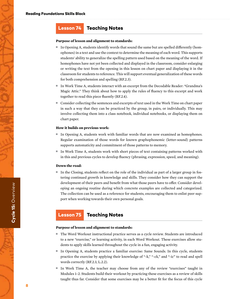## Lesson 74 Teaching Notes

#### **Purpose of lesson and alignment to standards:**

- In Opening A, students identify words that sound the same but are spelled differently (homophones) in a text and use the context to determine the meaning of each word. This supports students' ability to generalize the spelling pattern used based on the meaning of the word. If homophones have not yet been collected and displayed in the classroom, consider enlarging or writing the text from the opening in this lesson on chart paper and displaying it in the classroom for students to reference. This will support eventual generalization of these words for both comprehension and spelling (RF.2.3).
- In Work Time A, students interact with an excerpt from the Decodable Reader: "Grandma's Magic Attic." They think about how to apply the rules of fluency to this excerpt and work together to read this piece fluently (RF.2.4).
- Consider collecting the sentences and excerpts of text used in the Work Time on chart paper in such a way that they can be practiced by the group, in pairs, or individually. This may involve collecting them into a class notebook, individual notebooks, or displaying them on chart paper.

#### **How it builds on previous work:**

- In Opening A, students work with familiar words that are now examined as homophones. Regular examination of those words for known graphophonemic (letter-sound) patterns supports automaticity and commitment of those patterns to memory.
- In Work Time A, students work with short pieces of text containing patterns worked with in this and previous cycles to develop fluency (phrasing, expression, speed, and meaning).

#### **Down the road:**

■ In the Closing, students reflect on the role of the individual as part of a larger group in fostering continued growth in knowledge and skills. They consider how they can support the development of their peers and benefit from what those peers have to offer. Consider developing an ongoing routine during which concrete examples are collected and categorized. The collection can be used as a reference for students, encouraging them to enlist peer support when working towards their own personal goals.

## Lesson 75 Teaching Notes

#### **Purpose of lesson and alignment to standards:**

- The Word Workout instructional practice serves as a cycle review. Students are introduced to a new "exercise," or learning activity, in each Word Workout. These exercises allow students to apply skills learned throughout the cycle in a fun, engaging activity.
- In Opening A, students practice a familiar exercise: Same Sounds. In this cycle, students practice the exercise by applying their knowledge of "-k," "-ck," and "-ic" to read and spell words correctly (RF.2.3, L.2.2).
- In Work Time A, the teacher may choose from any of the review "exercises" taught in Modules 1–2. Students build their workout by practicing these exercises as a review of skills taught thus far. Consider that some exercises may be a better fit for the focus of this cycle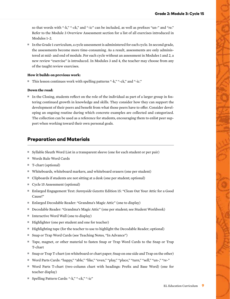so that words with "-k," "-ck," and "-ic" can be included, as well as prefixes "un-" and "re." Refer to the Module 3 Overview Assessment section for a list of all exercises introduced in Modules 1–2.

■ In the Grade 1 curriculum, a cycle assessment is administered for each cycle. In second grade, the assessments become more time-consuming. As a result, assessments are only administered at mid- and end of module. For each cycle without an assessment in Modules 1 and 2, a new review "exercise" is introduced. In Modules 3 and 4, the teacher may choose from any of the taught review exercises.

#### **How it builds on previous work:**

■ This lesson continues work with spelling patterns "-k," "-ck," and "-ic."

#### **Down the road:**

■ In the Closing, students reflect on the role of the individual as part of a larger group in fostering continued growth in knowledge and skills. They consider how they can support the development of their peers and benefit from what those peers have to offer. Consider developing an ongoing routine during which concrete examples are collected and categorized. The collection can be used as a reference for students, encouraging them to enlist peer support when working toward their own personal goals.

## Preparation and Materials

- Syllable Sleuth Word List in a transparent sleeve (one for each student or per pair)
- Words Rule Word Cards
- T-chart (optional)
- Whiteboards, whiteboard markers, and whiteboard erasers (one per student)
- Clipboards if students are not sitting at a desk (one per student; optional)
- Cycle 15 Assessment (optional)
- Enlarged Engagement Text: *Sunnyside Gazette* Edition 15: "Clean Out Your Attic for a Good Cause!"
- Enlarged Decodable Reader: "Grandma's Magic Attic" (one to display)
- Decodable Reader: "Grandma's Magic Attic" (one per student; see Student Workbook)
- Interactive Word Wall (one to display)
- Highlighter (one per student and one for teacher)
- Highlighting tape (for the teacher to use to highlight the Decodable Reader; optional)
- Snap or Trap Word Cards (see Teaching Notes, "In Advance")
- Tape, magnet, or other material to fasten Snap or Trap Word Cards to the Snap or Trap T-chart
- Snap or Trap T-chart (on whiteboard or chart paper; Snap on one side and Trap on the other)
- Word Parts Cards: "happy," "able," "like," "even," "play," "place," "turn," "sell," "un-," "re-"
- Word Parts T-chart (two-column chart with headings: Prefix and Base Word) (one for teacher display)
- Spelling Pattern Cards: "-k," "-ck," "-ic"